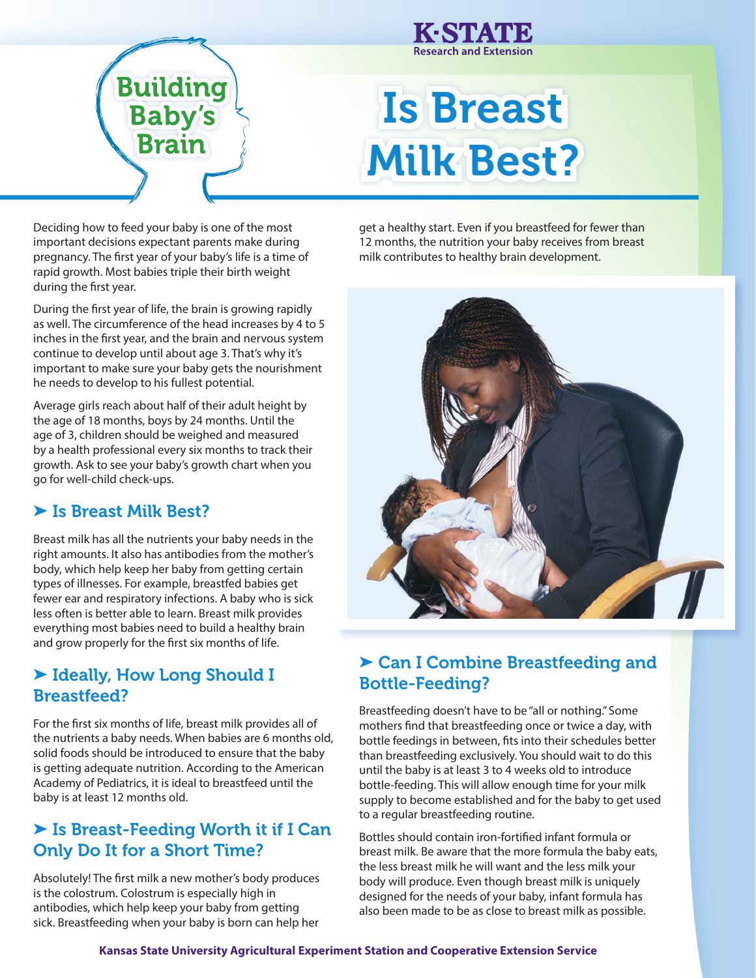



# Is Breast Milk Best?

Deciding how to feed your baby is one of the most important decisions expectant parents make during pregnancy. The first year of your baby's life is a time of rapid growth. Most babies triple their birth weight during the first year.

During the first year of life, the brain is growing rapidly as well. The circumference of the head increases by 4 to 5 inches in the first year, and the brain and nervous system continue to develop until about age 3. That's why it's important to make sure your baby gets the nourishment he needs to develop to his fullest potential.

Average girls reach about half of their adult height by the age of 18 months, boys by 24 months. Until the age of 3, children should be weighed and measured by a health professional every six months to track their growth. Ask to see your baby's growth chart when you go for well-child check-ups.

#### ▶ Is Breast Milk Best?

Breast milk has all the nutrients your baby needs in the right amounts. It also has antibodies from the mother's body, which help keep her baby from getting certain types of illnesses. For example, breastfed babies get fewer ear and respiratory infections. A baby who is sick less often is better able to learn. Breast milk provides everything most babies need to build a healthy brain and grow properly for the first six months of life.

## ➤ Ideally, How Long Should I Breastfeed?

For the first six months of life, breast milk provides all of the nutrients a baby needs. When babies are 6 months old, solid foods should be introduced to ensure that the baby is getting adequate nutrition. According to the American Academy of Pediatrics, it is ideal to breastfeed until the baby is at least 12 months old.

## ▶ Is Breast-Feeding Worth it if I Can Only Do It for a Short Time?

Absolutely! The first milk a new mother's body produces is the colostrum. Colostrum is especially high in antibodies, which help keep your baby from getting sick. Breastfeeding when your baby is born can help her

get a healthy start. Even if you breastfeed for fewer than 12 months, the nutrition your baby receives from breast milk contributes to healthy brain development.



## ▶ Can I Combine Breastfeeding and Bottle-Feeding?

Breastfeeding doesn't have to be "all or nothing." Some mothers find that breastfeeding once or twice a day, with bottle feedings in between, fits into their schedules better than breastfeeding exclusively. You should wait to do this until the baby is at least 3 to 4 weeks old to introduce bottle-feeding. This will allow enough time for your milk supply to become established and for the baby to get used to a regular breastfeeding routine.

Bottles should contain iron-fortified infant formula or breast milk. Be aware that the more formula the baby eats, the less breast milk he will want and the less milk your body will produce. Even though breast milk is uniquely designed for the needs of your baby, infant formula has also been made to be as close to breast milk as possible.